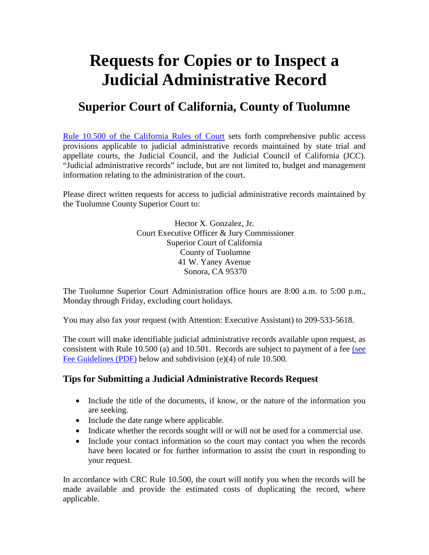## **Requests for Copies or to Inspect a Judicial Administrative Record**

## **Superior Court of California, County of Tuolumne**

[Rule 10.500 of the California Rules of Court](https://www.courts.ca.gov/cms/rules/index.cfm?title=ten&linkid=rule10_500) sets forth comprehensive public access provisions applicable to judicial administrative records maintained by state trial and appellate courts, the Judicial Council, and the Judicial Council of California (JCC). "Judicial administrative records" include, but are not limited to, budget and management information relating to the administration of the court.

Please direct written requests for access to judicial administrative records maintained by the Tuolumne County Superior Court to:

> Hector X. Gonzalez, Jr. Court Executive Officer & Jury Commissioner Superior Court of California County of Tuolumne 41 W. Yaney Avenue Sonora, CA 95370

The Tuolumne Superior Court Administration office hours are 8:00 a.m. to 5:00 p.m., Monday through Friday, excluding court holidays.

You may also fax your request (with Attention: Executive Assistant) to 209-533-5618.

The court will make identifiable judicial administrative records available upon request, as consistent with Rule 10.500 (a) and 10.501. Records are subject to payment of a fee [\(see](http://www.courtinfo.ca.gov/documents/FeeGuidelines_20091221.pdf)  [Fee Guidelines \(PDF\)](http://www.courtinfo.ca.gov/documents/FeeGuidelines_20091221.pdf) below and subdivision (e)(4) of rule 10.500.

## **Tips for Submitting a Judicial Administrative Records Request**

- Include the title of the documents, if know, or the nature of the information you are seeking.
- Include the date range where applicable.
- Indicate whether the records sought will or will not be used for a commercial use.
- Include your contact information so the court may contact you when the records have been located or for further information to assist the court in responding to your request.

In accordance with CRC Rule 10.500, the court will notify you when the records will be made available and provide the estimated costs of duplicating the record, where applicable.